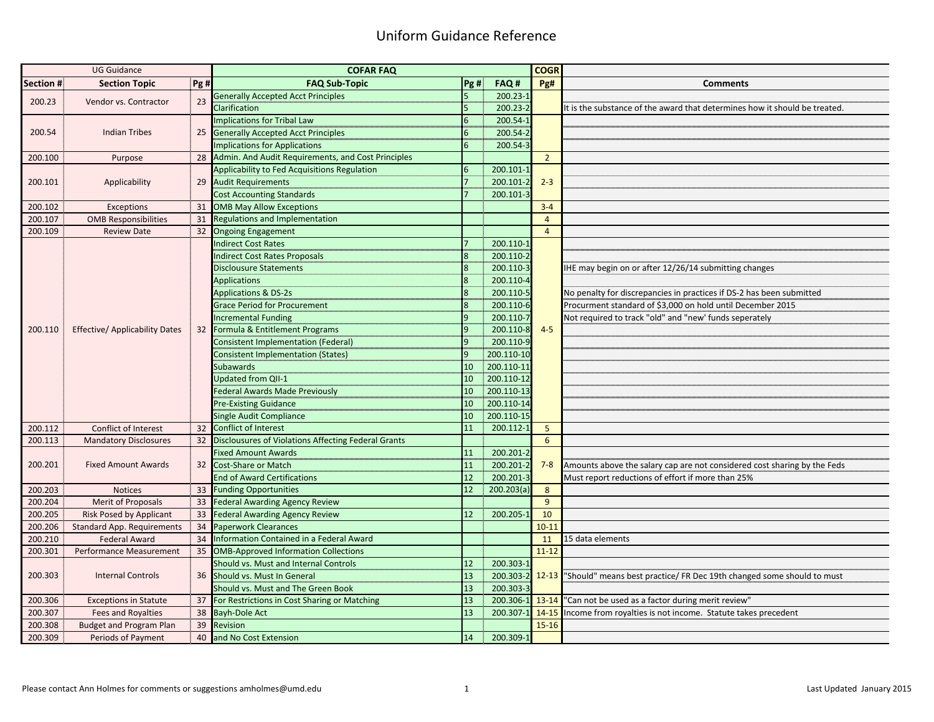## Uniform Guidance Reference

| <b>UG Guidance</b> |                                       |     | <b>COFAR FAQ</b>                                                                                                                                                                                                                                                                                                                                                                                                                                                                                                        |                                                                                               |  |                                                                                                                                                                                                       | <b>COGR</b>     |                                                                                                                                                                                                                                                       |
|--------------------|---------------------------------------|-----|-------------------------------------------------------------------------------------------------------------------------------------------------------------------------------------------------------------------------------------------------------------------------------------------------------------------------------------------------------------------------------------------------------------------------------------------------------------------------------------------------------------------------|-----------------------------------------------------------------------------------------------|--|-------------------------------------------------------------------------------------------------------------------------------------------------------------------------------------------------------|-----------------|-------------------------------------------------------------------------------------------------------------------------------------------------------------------------------------------------------------------------------------------------------|
| Section #          | <b>Section Topic</b>                  | Pg# | <b>FAQ Sub-Topic</b>                                                                                                                                                                                                                                                                                                                                                                                                                                                                                                    | Pg#                                                                                           |  | FAQ#                                                                                                                                                                                                  | Pg#             | <b>Comments</b>                                                                                                                                                                                                                                       |
| 200.23             | Vendor vs. Contractor                 | 23  | <b>Generally Accepted Acct Principles</b>                                                                                                                                                                                                                                                                                                                                                                                                                                                                               |                                                                                               |  | $200.23 - 2$                                                                                                                                                                                          |                 |                                                                                                                                                                                                                                                       |
|                    |                                       |     | Clarification                                                                                                                                                                                                                                                                                                                                                                                                                                                                                                           |                                                                                               |  | 200.23-2                                                                                                                                                                                              |                 | It is the substance of the award that determines how it should be treated.                                                                                                                                                                            |
| 200.54             | <b>Indian Tribes</b>                  |     | <b>Implications for Tribal Law</b><br>25 Generally Accepted Acct Principles<br><b>Implications for Applications</b>                                                                                                                                                                                                                                                                                                                                                                                                     |                                                                                               |  | 200.54-1<br>200.54-2<br>200.54-3                                                                                                                                                                      |                 |                                                                                                                                                                                                                                                       |
| 200.100            | Purpose                               |     | 28 Admin. And Audit Requirements, and Cost Principles                                                                                                                                                                                                                                                                                                                                                                                                                                                                   |                                                                                               |  |                                                                                                                                                                                                       | $\overline{2}$  |                                                                                                                                                                                                                                                       |
| 200.101            | Applicability                         | 29  | Applicability to Fed Acquisitions Regulation<br><b>Audit Requirements</b><br><b>Cost Accounting Standards</b>                                                                                                                                                                                                                                                                                                                                                                                                           | 6<br>$\overline{7}$                                                                           |  | 200.101-<br>200.101-2<br>200.101-                                                                                                                                                                     | $2 - 3$         |                                                                                                                                                                                                                                                       |
| 200.102            | Exceptions                            | 31  | <b>OMB May Allow Exceptions</b>                                                                                                                                                                                                                                                                                                                                                                                                                                                                                         |                                                                                               |  |                                                                                                                                                                                                       | $3 - 4$         |                                                                                                                                                                                                                                                       |
| 200.107            | <b>OMB Responsibilities</b>           | 31  | <b>Regulations and Implementation</b>                                                                                                                                                                                                                                                                                                                                                                                                                                                                                   |                                                                                               |  |                                                                                                                                                                                                       | $\overline{4}$  |                                                                                                                                                                                                                                                       |
| 200.109            | <b>Review Date</b>                    | 32  | <b>Ongoing Engagement</b>                                                                                                                                                                                                                                                                                                                                                                                                                                                                                               |                                                                                               |  |                                                                                                                                                                                                       | $\overline{4}$  |                                                                                                                                                                                                                                                       |
| 200.110            | <b>Effective/ Applicability Dates</b> |     | <b>Indirect Cost Rates</b><br><b>Indirect Cost Rates Proposals</b><br><b>Disclousure Statements</b><br><b>Applications</b><br><b>Applications &amp; DS-2s</b><br><b>Grace Period for Procurement</b><br><b>Incremental Funding</b><br>32 Formula & Entitlement Programs<br>Consistent Implementation (Federal)<br><b>Consistent Implementation (States)</b><br><b>Subawards</b><br><b>Updated from QII-1</b><br><b>Federal Awards Made Previously</b><br><b>Pre-Existing Guidance</b><br><b>Single Audit Compliance</b> | 8<br>$\overline{8}$<br>8<br>$\overline{9}$<br>9<br>$\mathsf{q}$<br>10<br>10<br>10<br>10<br>10 |  | 200.110-1<br>200.110-2<br>200.110-3<br>200.110-4<br>200.110-5<br>200.110-6<br>200.110-7<br>200.110-8<br>200.110-9<br>200.110-10<br>200.110-11<br>200.110-12<br>200.110-13<br>200.110-14<br>200.110-15 | $4 - 5$         | IHE may begin on or after 12/26/14 submitting changes<br>No penalty for discrepancies in practices if DS-2 has been submitted<br>Procurment standard of \$3,000 on hold until December 2015<br>Not required to track "old" and "new' funds seperately |
| 200.112            | Conflict of Interest                  |     | 32 Conflict of Interest                                                                                                                                                                                                                                                                                                                                                                                                                                                                                                 | 11                                                                                            |  | 200.112-2                                                                                                                                                                                             | 5 <sup>5</sup>  |                                                                                                                                                                                                                                                       |
| 200.113            | <b>Mandatory Disclosures</b>          |     | 32 Disclousures of Violations Affecting Federal Grants                                                                                                                                                                                                                                                                                                                                                                                                                                                                  |                                                                                               |  |                                                                                                                                                                                                       | $6\overline{6}$ |                                                                                                                                                                                                                                                       |
| 200.201            | <b>Fixed Amount Awards</b>            |     | <b>Fixed Amount Awards</b><br>32 Cost-Share or Match<br><b>End of Award Certifications</b>                                                                                                                                                                                                                                                                                                                                                                                                                              | 11<br>11<br>12                                                                                |  | 200.201-2<br>200.201-2<br>200.201-                                                                                                                                                                    | $7 - 8$         | Amounts above the salary cap are not considered cost sharing by the Feds<br>Must report reductions of effort if more than 25%                                                                                                                         |
| 200.203            | <b>Notices</b>                        |     | 33 Funding Opportunities                                                                                                                                                                                                                                                                                                                                                                                                                                                                                                | 12                                                                                            |  | 200.203(a)                                                                                                                                                                                            | 8               |                                                                                                                                                                                                                                                       |
| 200.204            | <b>Merit of Proposals</b>             |     | 33 Federal Awarding Agency Review                                                                                                                                                                                                                                                                                                                                                                                                                                                                                       |                                                                                               |  |                                                                                                                                                                                                       | 9               |                                                                                                                                                                                                                                                       |
| 200.205            | <b>Risk Posed by Applicant</b>        | 33  | <b>Federal Awarding Agency Review</b>                                                                                                                                                                                                                                                                                                                                                                                                                                                                                   | 12                                                                                            |  | 200.205-1                                                                                                                                                                                             | 10              |                                                                                                                                                                                                                                                       |
| 200.206            | <b>Standard App. Requirements</b>     |     | 34 Paperwork Clearances                                                                                                                                                                                                                                                                                                                                                                                                                                                                                                 |                                                                                               |  |                                                                                                                                                                                                       | $10 - 11$       |                                                                                                                                                                                                                                                       |
| 200.210            | <b>Federal Award</b>                  | 34  | Information Contained in a Federal Award                                                                                                                                                                                                                                                                                                                                                                                                                                                                                |                                                                                               |  |                                                                                                                                                                                                       | 11              | 15 data elements                                                                                                                                                                                                                                      |
| 200.301            | <b>Performance Measurement</b>        | 35  | <b>OMB-Approved Information Collections</b>                                                                                                                                                                                                                                                                                                                                                                                                                                                                             |                                                                                               |  |                                                                                                                                                                                                       | $11 - 12$       |                                                                                                                                                                                                                                                       |
| 200.303            | <b>Internal Controls</b>              |     | Should vs. Must and Internal Controls<br>36 Should vs. Must In General<br>Should vs. Must and The Green Book                                                                                                                                                                                                                                                                                                                                                                                                            | 12<br>13<br>13                                                                                |  | 200.303-3<br>200.303-<br>200.303-                                                                                                                                                                     |                 | 12-13 Should" means best practice/ FR Dec 19th changed some should to must                                                                                                                                                                            |
| 200.306            | <b>Exceptions in Statute</b>          |     | 37 For Restrictions in Cost Sharing or Matching                                                                                                                                                                                                                                                                                                                                                                                                                                                                         | 13                                                                                            |  | 200.306-2                                                                                                                                                                                             | $13 - 14$       | 'Can not be used as a factor during merit review"                                                                                                                                                                                                     |
| 200.307            | <b>Fees and Royalties</b>             |     | 38 Bayh-Dole Act                                                                                                                                                                                                                                                                                                                                                                                                                                                                                                        | 13                                                                                            |  | 200.307-1                                                                                                                                                                                             | $14 - 15$       | Income from royalties is not income. Statute takes precedent                                                                                                                                                                                          |
| 200.308            | <b>Budget and Program Plan</b>        |     | 39 Revision                                                                                                                                                                                                                                                                                                                                                                                                                                                                                                             |                                                                                               |  |                                                                                                                                                                                                       | $15 - 16$       |                                                                                                                                                                                                                                                       |
| 200.309            | <b>Periods of Payment</b>             |     | 40 and No Cost Extension                                                                                                                                                                                                                                                                                                                                                                                                                                                                                                | 14                                                                                            |  | 200.309-1                                                                                                                                                                                             |                 |                                                                                                                                                                                                                                                       |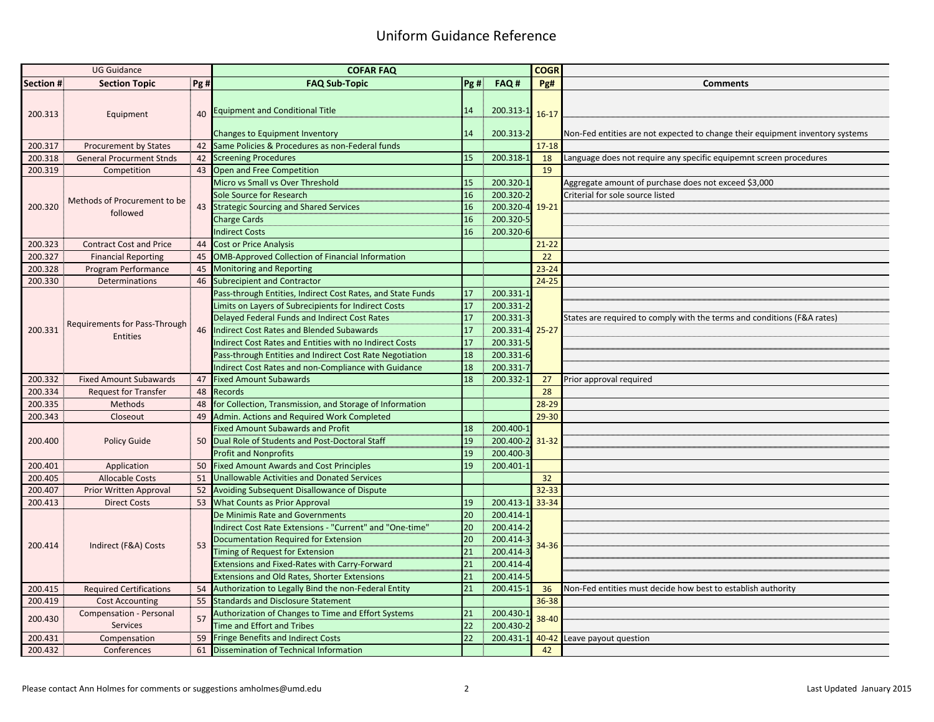## Uniform Guidance Reference

| <b>UG Guidance</b> |                                           |     | <b>COFAR FAQ</b>                                                                                                                                                                                                                                                                                                                                                                                 |                                        |                                                                                               | <b>COGR</b> |                                                                                          |
|--------------------|-------------------------------------------|-----|--------------------------------------------------------------------------------------------------------------------------------------------------------------------------------------------------------------------------------------------------------------------------------------------------------------------------------------------------------------------------------------------------|----------------------------------------|-----------------------------------------------------------------------------------------------|-------------|------------------------------------------------------------------------------------------|
| Section #          | <b>Section Topic</b>                      | Pg# | <b>FAQ Sub-Topic</b>                                                                                                                                                                                                                                                                                                                                                                             | Pg#                                    | FAQ#                                                                                          | Pg#         | <b>Comments</b>                                                                          |
| 200.313            | Equipment                                 |     | <b>Equipment and Conditional Title</b>                                                                                                                                                                                                                                                                                                                                                           | 14                                     | 200.313-1                                                                                     | $16-17$     |                                                                                          |
|                    |                                           |     | <b>Changes to Equipment Inventory</b>                                                                                                                                                                                                                                                                                                                                                            | 14                                     | 200.313-2                                                                                     |             | Non-Fed entities are not expected to change their equipment inventory systems            |
| 200.317            | <b>Procurement by States</b>              | 42  | Same Policies & Procedures as non-Federal funds                                                                                                                                                                                                                                                                                                                                                  |                                        |                                                                                               | $17 - 18$   |                                                                                          |
| 200.318            | <b>General Procurment Stnds</b>           | 42  | <b>Screening Procedures</b>                                                                                                                                                                                                                                                                                                                                                                      | 15                                     | 200.318-                                                                                      | 18          | Language does not require any specific equipemnt screen procedures                       |
| 200.319            | Competition                               | 43  | Open and Free Competition                                                                                                                                                                                                                                                                                                                                                                        |                                        |                                                                                               | 19          |                                                                                          |
| 200.320            | Methods of Procurement to be<br>followed  |     | Micro vs Small vs Over Threshold<br>Sole Source for Research<br>43 Strategic Sourcing and Shared Services                                                                                                                                                                                                                                                                                        | 15<br>16<br>16                         | 200.320-1<br>200.320-2<br>200.320-4 19-21                                                     |             | Aggregate amount of purchase does not exceed \$3,000<br>Criterial for sole source listed |
|                    |                                           |     | <b>Charge Cards</b><br><b>Indirect Costs</b>                                                                                                                                                                                                                                                                                                                                                     | 16<br>16                               | 200.320-5<br>200.320-6                                                                        |             |                                                                                          |
| 200.323            | <b>Contract Cost and Price</b>            | 44  | <b>Cost or Price Analysis</b>                                                                                                                                                                                                                                                                                                                                                                    |                                        |                                                                                               | $21 - 22$   |                                                                                          |
| 200.327            | <b>Financial Reporting</b>                | 45  | <b>OMB-Approved Collection of Financial Information</b>                                                                                                                                                                                                                                                                                                                                          |                                        |                                                                                               | 22          |                                                                                          |
| 200.328            | Program Performance                       | 45  | <b>Monitoring and Reporting</b>                                                                                                                                                                                                                                                                                                                                                                  |                                        |                                                                                               | $23 - 24$   |                                                                                          |
| 200.330            | Determinations                            | 46  | <b>Subrecipient and Contractor</b>                                                                                                                                                                                                                                                                                                                                                               |                                        |                                                                                               | $24 - 25$   |                                                                                          |
| 200.331            | Requirements for Pass-Through<br>Entities | 46  | Pass-through Entities, Indirect Cost Rates, and State Funds<br>Limits on Layers of Subrecipients for Indirect Costs<br>Delayed Federal Funds and Indirect Cost Rates<br>Indirect Cost Rates and Blended Subawards<br>Indirect Cost Rates and Entities with no Indirect Costs<br>Pass-through Entities and Indirect Cost Rate Negotiation<br>Indirect Cost Rates and non-Compliance with Guidance | 17<br>17<br>17<br>17<br>17<br>18<br>18 | 200.331-1<br>200.331-2<br>200.331-3<br>200.331-4 25-27<br>200.331-5<br>200.331-6<br>200.331-7 |             | States are required to comply with the terms and conditions (F&A rates)                  |
| 200.332            | <b>Fixed Amount Subawards</b>             | 47  | <b>Fixed Amount Subawards</b>                                                                                                                                                                                                                                                                                                                                                                    | 18                                     | 200.332-1                                                                                     | 27          | Prior approval required                                                                  |
| 200.334            | <b>Request for Transfer</b>               | 48  | <b>Records</b>                                                                                                                                                                                                                                                                                                                                                                                   |                                        |                                                                                               | 28          |                                                                                          |
| 200.335            | Methods                                   | 48  | for Collection, Transmission, and Storage of Information                                                                                                                                                                                                                                                                                                                                         |                                        |                                                                                               | 28-29       |                                                                                          |
| 200.343            | Closeout                                  | 49  | Admin. Actions and Required Work Completed                                                                                                                                                                                                                                                                                                                                                       |                                        |                                                                                               | $29 - 30$   |                                                                                          |
| 200.400            | <b>Policy Guide</b>                       | 50  | <b>Fixed Amount Subawards and Profit</b><br>Dual Role of Students and Post-Doctoral Staff<br><b>Profit and Nonprofits</b>                                                                                                                                                                                                                                                                        | 18<br>19<br>19                         | 200.400-2<br>200.400-2 31-32<br>200.400-3                                                     |             |                                                                                          |
| 200.401            | Application                               | 50  | <b>Fixed Amount Awards and Cost Principles</b>                                                                                                                                                                                                                                                                                                                                                   | 19                                     | 200.401-1                                                                                     |             |                                                                                          |
| 200.405            | <b>Allocable Costs</b>                    | 51  | <b>Unallowable Activities and Donated Services</b>                                                                                                                                                                                                                                                                                                                                               |                                        |                                                                                               | 32          |                                                                                          |
| 200.407            | Prior Written Approval                    | 52  | Avoiding Subsequent Disallowance of Dispute                                                                                                                                                                                                                                                                                                                                                      |                                        |                                                                                               | 32-33       |                                                                                          |
| 200.413            | <b>Direct Costs</b>                       | 53  | What Counts as Prior Approval                                                                                                                                                                                                                                                                                                                                                                    | 19                                     | 200.413-1                                                                                     | 33-34       |                                                                                          |
| 200.414            | Indirect (F&A) Costs                      | 53  | De Minimis Rate and Governments<br>ndirect Cost Rate Extensions - "Current" and "One-time"<br>Documentation Required for Extension<br>Timing of Request for Extension<br>Extensions and Fixed-Rates with Carry-Forward<br>Extensions and Old Rates, Shorter Extensions                                                                                                                           | 20<br>20<br>20<br>21<br>21<br>21       | 200.414-1<br>200.414-2<br>200.414-3<br>200.414-3<br>200.414-4<br>200.414-5                    | 34-36       |                                                                                          |
| 200.415            | <b>Required Certifications</b>            | 54  | Authorization to Legally Bind the non-Federal Entity                                                                                                                                                                                                                                                                                                                                             | 21                                     | 200.415-1                                                                                     | 36          | Non-Fed entities must decide how best to establish authority                             |
| 200.419            | <b>Cost Accounting</b>                    | 55  | <b>Standards and Disclosure Statement</b>                                                                                                                                                                                                                                                                                                                                                        |                                        |                                                                                               | 36-38       |                                                                                          |
| 200.430            | Compensation - Personal<br>Services       | 57  | Authorization of Changes to Time and Effort Systems<br>Time and Effort and Tribes                                                                                                                                                                                                                                                                                                                | 21<br>22                               | 200.430-2<br>200.430-                                                                         | 38-40       |                                                                                          |
| 200.431            | Compensation                              | 59  | <b>Fringe Benefits and Indirect Costs</b>                                                                                                                                                                                                                                                                                                                                                        | 22                                     | 200.431-1                                                                                     | 40-42       | Leave payout question                                                                    |
| 200.432            | Conferences                               | 61  | <b>Dissemination of Technical Information</b>                                                                                                                                                                                                                                                                                                                                                    |                                        |                                                                                               | 42          |                                                                                          |